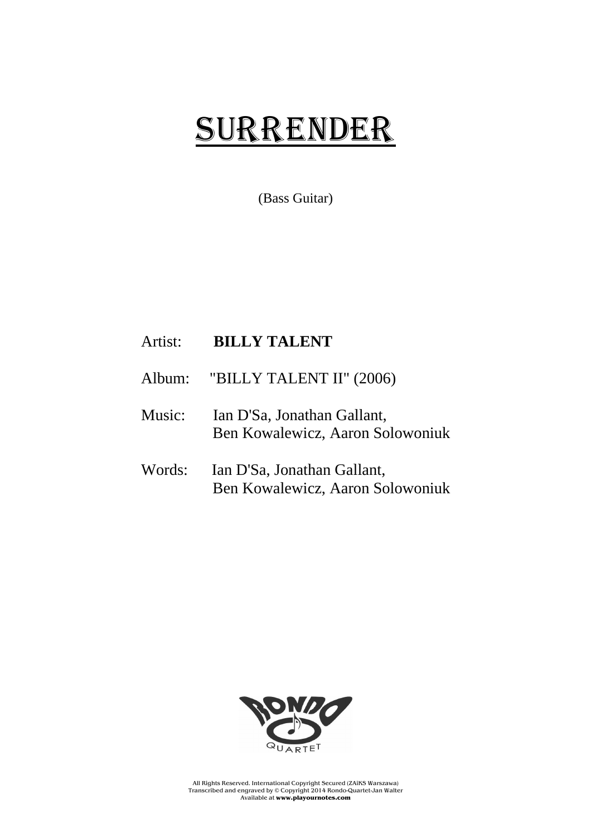## SURRENDER

(Bass Guitar)

## Artist: **BILLY TALENT**

- Album: "BILLY TALENT II" (2006)
- Music: Ian D'Sa, Jonathan Gallant, Ben Kowalewicz, Aaron Solowoniuk
- Words: Ian D'Sa, Jonathan Gallant, Ben Kowalewicz, Aaron Solowoniuk



All Rights Reserved. International Copyright Secured (ZAiKS Warszawa) Transcribed and engraved by © Copyright 2014 Rondo-Quartet-Jan Walter Available at **www.playournotes.com**